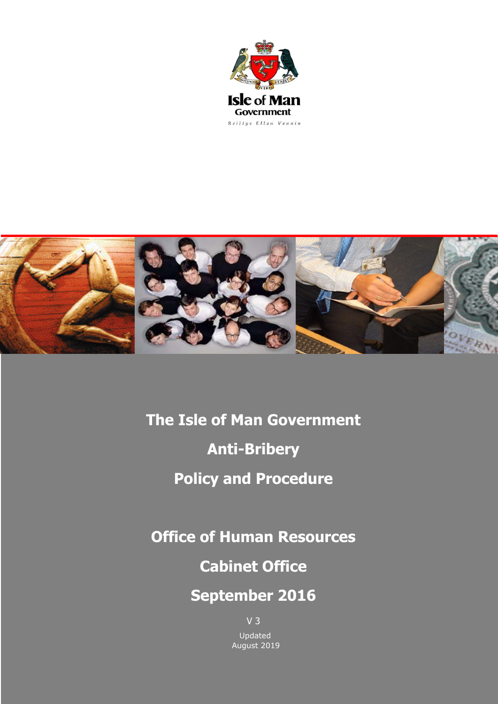



**The Isle of Man Government**

**Anti-Bribery** 

# **Policy and Procedure**

**Office of Human Resources**

**Cabinet Office**

# **September 2016**

V 3 Updated August 2019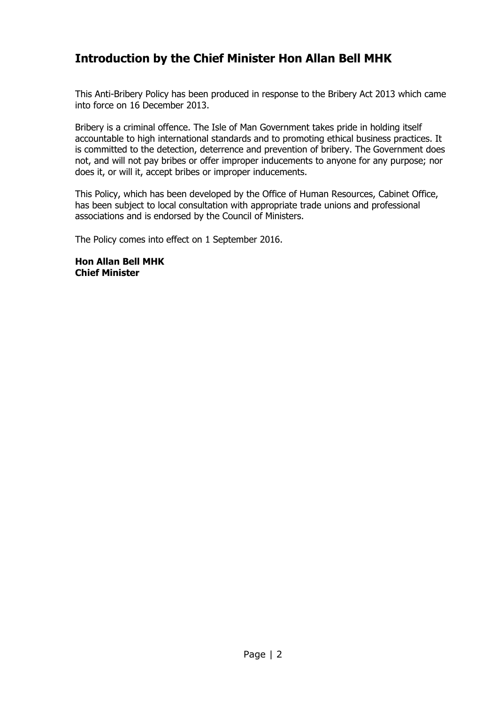# <span id="page-1-0"></span>**Introduction by the Chief Minister Hon Allan Bell MHK**

This Anti-Bribery Policy has been produced in response to the Bribery Act 2013 which came into force on 16 December 2013.

Bribery is a criminal offence. The Isle of Man Government takes pride in holding itself accountable to high international standards and to promoting ethical business practices. It is committed to the detection, deterrence and prevention of bribery. The Government does not, and will not pay bribes or offer improper inducements to anyone for any purpose; nor does it, or will it, accept bribes or improper inducements.

This Policy, which has been developed by the Office of Human Resources, Cabinet Office, has been subject to local consultation with appropriate trade unions and professional associations and is endorsed by the Council of Ministers.

The Policy comes into effect on 1 September 2016.

**Hon Allan Bell MHK Chief Minister**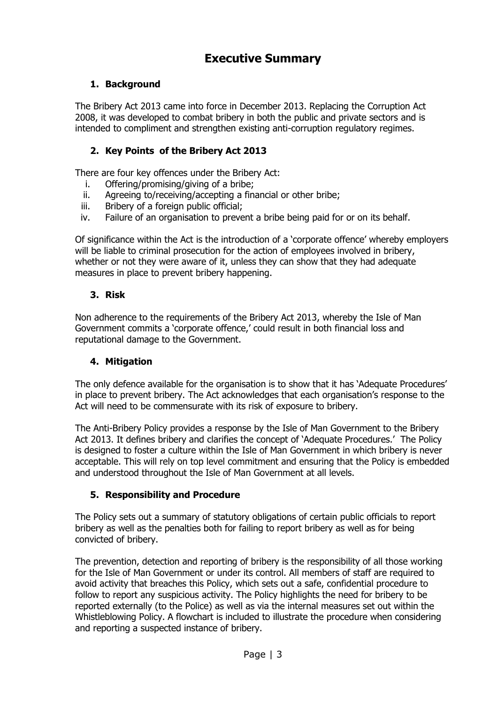# **Executive Summary**

# <span id="page-2-0"></span>**1. Background**

The Bribery Act 2013 came into force in December 2013. Replacing the Corruption Act 2008, it was developed to combat bribery in both the public and private sectors and is intended to compliment and strengthen existing anti-corruption regulatory regimes.

# **2. Key Points of the Bribery Act 2013**

There are four key offences under the Bribery Act:

- i. Offering/promising/giving of a bribe;
- ii. Agreeing to/receiving/accepting a financial or other bribe;
- iii. Bribery of a foreign public official;
- iv. Failure of an organisation to prevent a bribe being paid for or on its behalf.

Of significance within the Act is the introduction of a 'corporate offence' whereby employers will be liable to criminal prosecution for the action of employees involved in bribery, whether or not they were aware of it, unless they can show that they had adequate measures in place to prevent bribery happening.

#### **3. Risk**

Non adherence to the requirements of the Bribery Act 2013, whereby the Isle of Man Government commits a 'corporate offence,' could result in both financial loss and reputational damage to the Government.

## **4. Mitigation**

The only defence available for the organisation is to show that it has 'Adequate Procedures' in place to prevent bribery. The Act acknowledges that each organisation's response to the Act will need to be commensurate with its risk of exposure to bribery.

The Anti-Bribery Policy provides a response by the Isle of Man Government to the Bribery Act 2013. It defines bribery and clarifies the concept of 'Adequate Procedures.' The Policy is designed to foster a culture within the Isle of Man Government in which bribery is never acceptable. This will rely on top level commitment and ensuring that the Policy is embedded and understood throughout the Isle of Man Government at all levels.

## **5. Responsibility and Procedure**

The Policy sets out a summary of statutory obligations of certain public officials to report bribery as well as the penalties both for failing to report bribery as well as for being convicted of bribery.

The prevention, detection and reporting of bribery is the responsibility of all those working for the Isle of Man Government or under its control. All members of staff are required to avoid activity that breaches this Policy, which sets out a safe, confidential procedure to follow to report any suspicious activity. The Policy highlights the need for bribery to be reported externally (to the Police) as well as via the internal measures set out within the Whistleblowing Policy. A flowchart is included to illustrate the procedure when considering and reporting a suspected instance of bribery.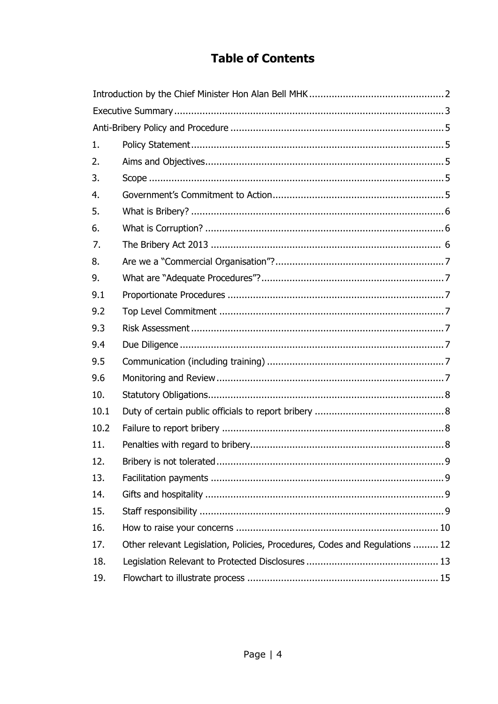# **Table of Contents**

<span id="page-3-0"></span>

| 1.   |                                                                             |  |  |
|------|-----------------------------------------------------------------------------|--|--|
| 2.   |                                                                             |  |  |
| 3.   |                                                                             |  |  |
| 4.   |                                                                             |  |  |
| 5.   |                                                                             |  |  |
| 6.   |                                                                             |  |  |
| 7.   |                                                                             |  |  |
| 8.   |                                                                             |  |  |
| 9.   |                                                                             |  |  |
| 9.1  |                                                                             |  |  |
| 9.2  |                                                                             |  |  |
| 9.3  |                                                                             |  |  |
|      |                                                                             |  |  |
| 9.4  |                                                                             |  |  |
| 9.5  |                                                                             |  |  |
| 9.6  |                                                                             |  |  |
| 10.  |                                                                             |  |  |
| 10.1 |                                                                             |  |  |
| 10.2 |                                                                             |  |  |
| 11.  |                                                                             |  |  |
| 12.  |                                                                             |  |  |
| 13.  |                                                                             |  |  |
| 14.  |                                                                             |  |  |
| 15.  |                                                                             |  |  |
| 16.  |                                                                             |  |  |
| 17.  | Other relevant Legislation, Policies, Procedures, Codes and Regulations  12 |  |  |
| 18.  |                                                                             |  |  |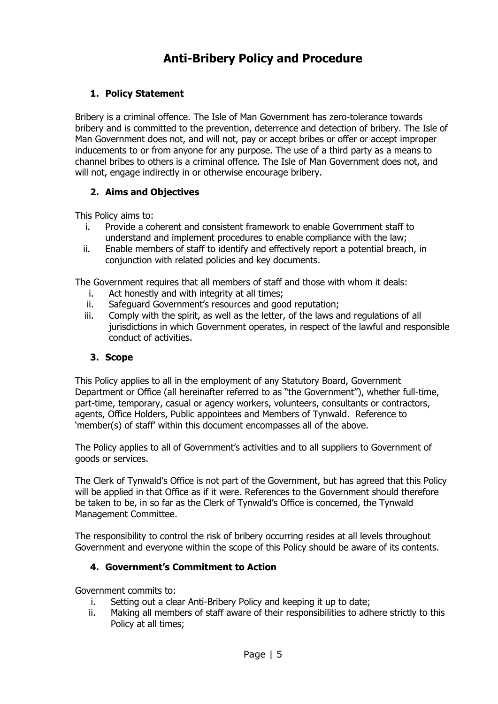# **Anti-Bribery Policy and Procedure**

## <span id="page-4-0"></span>**1. Policy Statement**

Bribery is a criminal offence. The Isle of Man Government has zero-tolerance towards bribery and is committed to the prevention, deterrence and detection of bribery. The Isle of Man Government does not, and will not, pay or accept bribes or offer or accept improper inducements to or from anyone for any purpose. The use of a third party as a means to channel bribes to others is a criminal offence. The Isle of Man Government does not, and will not, engage indirectly in or otherwise encourage bribery.

## <span id="page-4-1"></span>**2. Aims and Objectives**

This Policy aims to:

- i. Provide a coherent and consistent framework to enable Government staff to understand and implement procedures to enable compliance with the law;
- ii. Enable members of staff to identify and effectively report a potential breach, in conjunction with related policies and key documents.

The Government requires that all members of staff and those with whom it deals:

- i. Act honestly and with integrity at all times;
- ii. Safeguard Government's resources and good reputation;
- iii. Comply with the spirit, as well as the letter, of the laws and regulations of all jurisdictions in which Government operates, in respect of the lawful and responsible conduct of activities.

#### <span id="page-4-2"></span>**3. Scope**

This Policy applies to all in the employment of any Statutory Board, Government Department or Office (all hereinafter referred to as "the Government"), whether full-time, part-time, temporary, casual or agency workers, volunteers, consultants or contractors, agents, Office Holders, Public appointees and Members of Tynwald. Reference to 'member(s) of staff' within this document encompasses all of the above.

The Policy applies to all of Government's activities and to all suppliers to Government of goods or services.

The Clerk of Tynwald's Office is not part of the Government, but has agreed that this Policy will be applied in that Office as if it were. References to the Government should therefore be taken to be, in so far as the Clerk of Tynwald's Office is concerned, the Tynwald Management Committee.

The responsibility to control the risk of bribery occurring resides at all levels throughout Government and everyone within the scope of this Policy should be aware of its contents.

## <span id="page-4-3"></span>**4. Government's Commitment to Action**

Government commits to:

- i. Setting out a clear Anti-Bribery Policy and keeping it up to date;
- ii. Making all members of staff aware of their responsibilities to adhere strictly to this Policy at all times;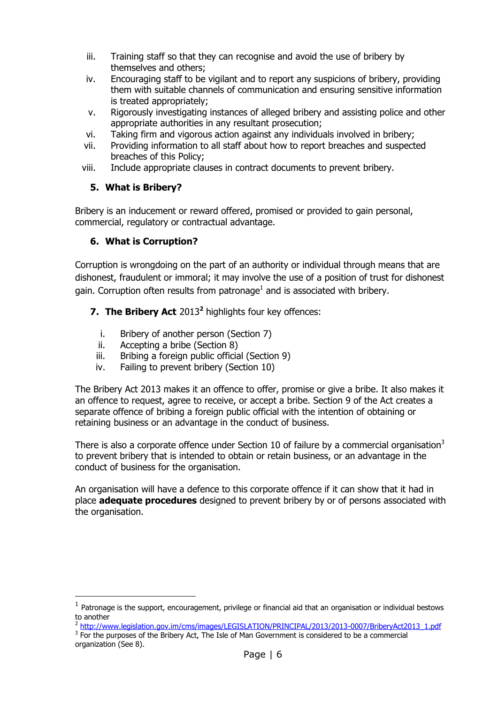- iii. Training staff so that they can recognise and avoid the use of bribery by themselves and others;
- iv. Encouraging staff to be vigilant and to report any suspicions of bribery, providing them with suitable channels of communication and ensuring sensitive information is treated appropriately;
- v. Rigorously investigating instances of alleged bribery and assisting police and other appropriate authorities in any resultant prosecution;
- vi. Taking firm and vigorous action against any individuals involved in bribery;
- vii. Providing information to all staff about how to report breaches and suspected breaches of this Policy;
- <span id="page-5-0"></span>viii. Include appropriate clauses in contract documents to prevent bribery.

# **5. What is Bribery?**

Bribery is an inducement or reward offered, promised or provided to gain personal, commercial, regulatory or contractual advantage.

# <span id="page-5-1"></span>**6. What is Corruption?**

-

Corruption is wrongdoing on the part of an authority or individual through means that are dishonest, fraudulent or immoral; it may involve the use of a position of trust for dishonest gain. Corruption often results from patronage<sup>1</sup> and is associated with bribery.

# <span id="page-5-2"></span>**7. [The Bribery Act](file://Ballacleator/Personnel%20Shared%20Data/PERSCOMM/GENERAL/GP1%20a%20Policies/Policies%20&%20Guidelines/URN%2063%20-%20Anti%20Bribery%20Policy/(http:/www.legislation.gov.im/cms/images/LEGISLATION/PRINCIPAL/2013/2013-0007/BriberyAct2013_1.pdf))** 2013**<sup>2</sup>** highlights four key offences:

- i. Bribery of another person (Section 7)
- ii. Accepting a bribe (Section 8)
- iii. Bribing a foreign public official (Section 9)
- iv. Failing to prevent bribery (Section 10)

The Bribery Act 2013 makes it an offence to offer, promise or give a bribe. It also makes it an offence to request, agree to receive, or accept a bribe. Section 9 of the Act creates a separate offence of bribing a foreign public official with the intention of obtaining or retaining business or an advantage in the conduct of business.

There is also a corporate offence under Section 10 of failure by a commercial organisation<sup>3</sup> to prevent bribery that is intended to obtain or retain business, or an advantage in the conduct of business for the organisation.

An organisation will have a defence to this corporate offence if it can show that it had in place **adequate procedures** designed to prevent bribery by or of persons associated with the organisation.

 $<sup>1</sup>$  Patronage is the support, encouragement, privilege or financial aid that an organisation or individual bestows</sup> to another

<sup>&</sup>lt;sup>2</sup> [http://www.legislation.gov.im/cms/images/LEGISLATION/PRINCIPAL/2013/2013-0007/BriberyAct2013\\_1.pdf](http://www.legislation.gov.im/cms/images/LEGISLATION/PRINCIPAL/2013/2013-0007/BriberyAct2013_1.pdf)

<sup>&</sup>lt;sup>3</sup> For the purposes of the Bribery Act, The Isle of Man Government is considered to be a commercial organization (See 8).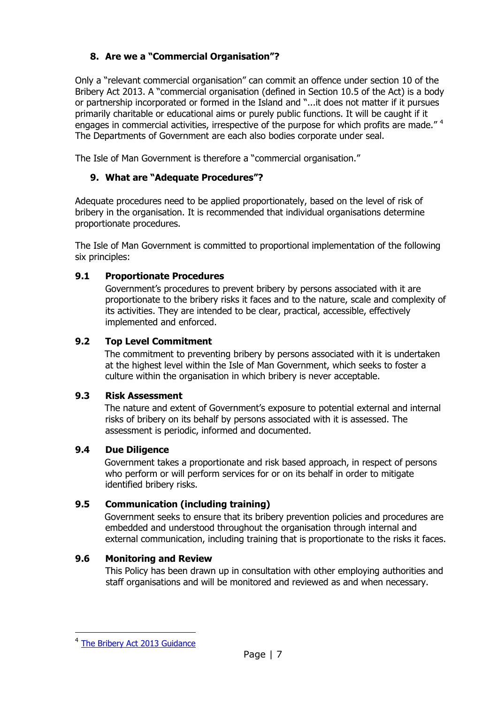# <span id="page-6-0"></span>**8. Are we a "Commercial Organisation"?**

Only a "relevant commercial organisation" can commit an offence under section 10 of the Bribery Act 2013. A "commercial organisation (defined in Section 10.5 of the Act) is a body or partnership incorporated or formed in the Island and "...it does not matter if it pursues primarily charitable or educational aims or purely public functions. It will be caught if it engages in commercial activities, irrespective of the purpose for which profits are made."  $4$ The Departments of Government are each also bodies corporate under seal.

<span id="page-6-1"></span>The Isle of Man Government is therefore a "commercial organisation."

# **9. What are "Adequate Procedures"?**

Adequate procedures need to be applied proportionately, based on the level of risk of bribery in the organisation. It is recommended that individual organisations determine proportionate procedures.

The Isle of Man Government is committed to proportional implementation of the following six principles:

## <span id="page-6-2"></span>**9.1 Proportionate Procedures**

Government's procedures to prevent bribery by persons associated with it are proportionate to the bribery risks it faces and to the nature, scale and complexity of its activities. They are intended to be clear, practical, accessible, effectively implemented and enforced.

#### <span id="page-6-3"></span>**9.2 Top Level Commitment**

The commitment to preventing bribery by persons associated with it is undertaken at the highest level within the Isle of Man Government, which seeks to foster a culture within the organisation in which bribery is never acceptable.

#### <span id="page-6-4"></span>**9.3 Risk Assessment**

The nature and extent of Government's exposure to potential external and internal risks of bribery on its behalf by persons associated with it is assessed. The assessment is periodic, informed and documented.

## <span id="page-6-5"></span>**9.4 Due Diligence**

Government takes a proportionate and risk based approach, in respect of persons who perform or will perform services for or on its behalf in order to mitigate identified bribery risks.

## <span id="page-6-6"></span>**9.5 Communication (including training)**

Government seeks to ensure that its bribery prevention policies and procedures are embedded and understood throughout the organisation through internal and external communication, including training that is proportionate to the risks it faces.

## <span id="page-6-7"></span>**9.6 Monitoring and Review**

This Policy has been drawn up in consultation with other employing authorities and staff organisations and will be monitored and reviewed as and when necessary.

 $\overline{a}$ 

<sup>&</sup>lt;sup>4</sup> [The Bribery Act 2013 Guidance](http://www.gov.im/media/868077/_2013-11-28__guidance_to_prevent_bribery.pdf)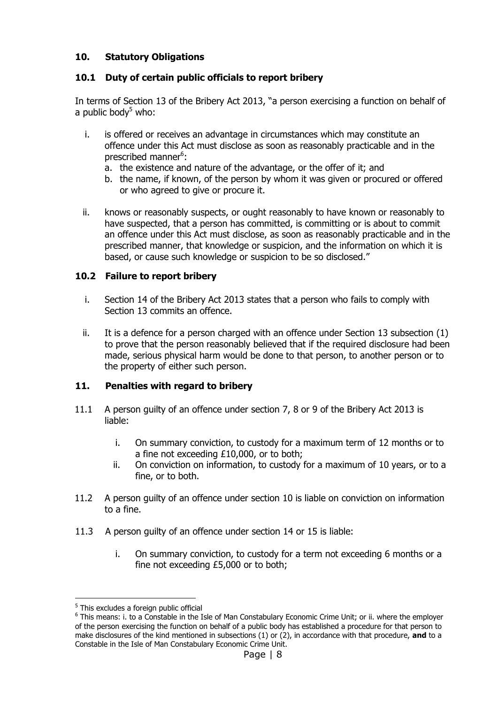# <span id="page-7-0"></span>**10. Statutory Obligations**

#### <span id="page-7-1"></span>**10.1 Duty of certain public officials to report bribery**

In terms of Section 13 of the Bribery Act 2013, "a person exercising a function on behalf of a public bod $v<sup>5</sup>$  who:

- i. is offered or receives an advantage in circumstances which may constitute an offence under this Act must disclose as soon as reasonably practicable and in the prescribed manner<sup>6</sup>:
	- a. the existence and nature of the advantage, or the offer of it; and
	- b. the name, if known, of the person by whom it was given or procured or offered or who agreed to give or procure it.
- ii. knows or reasonably suspects, or ought reasonably to have known or reasonably to have suspected, that a person has committed, is committing or is about to commit an offence under this Act must disclose, as soon as reasonably practicable and in the prescribed manner, that knowledge or suspicion, and the information on which it is based, or cause such knowledge or suspicion to be so disclosed."

#### <span id="page-7-2"></span>**10.2 Failure to report bribery**

- i. Section 14 of the Bribery Act 2013 states that a person who fails to comply with Section 13 commits an offence.
- ii. It is a defence for a person charged with an offence under Section 13 subsection (1) to prove that the person reasonably believed that if the required disclosure had been made, serious physical harm would be done to that person, to another person or to the property of either such person.

#### <span id="page-7-3"></span>**11. Penalties with regard to bribery**

- 11.1 A person guilty of an offence under section 7, 8 or 9 of the Bribery Act 2013 is liable:
	- i. On summary conviction, to custody for a maximum term of 12 months or to a fine not exceeding £10,000, or to both;
	- ii. On conviction on information, to custody for a maximum of 10 years, or to a fine, or to both.
- 11.2 A person guilty of an offence under section 10 is liable on conviction on information to a fine.
- 11.3 A person guilty of an offence under section 14 or 15 is liable:
	- i. On summary conviction, to custody for a term not exceeding 6 months or a fine not exceeding £5,000 or to both;

j <sup>5</sup> This excludes a foreign public official

<sup>&</sup>lt;sup>6</sup> This means: i. to a Constable in the Isle of Man Constabulary Economic Crime Unit; or ii. where the employer of the person exercising the function on behalf of a public body has established a procedure for that person to make disclosures of the kind mentioned in subsections (1) or (2), in accordance with that procedure, **and** to a Constable in the Isle of Man Constabulary Economic Crime Unit.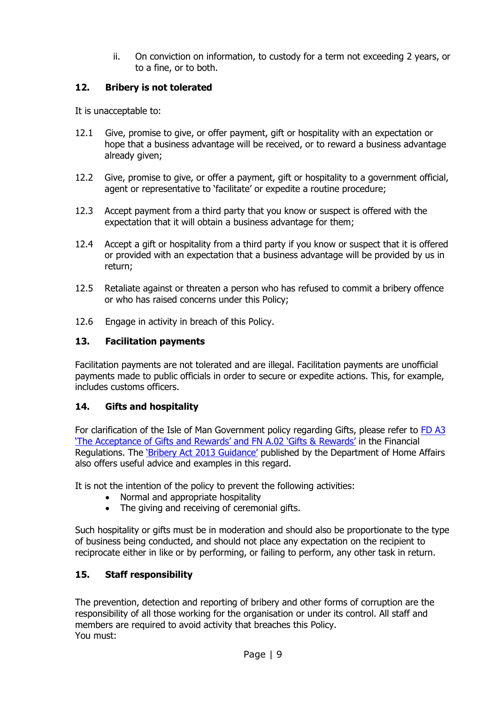ii. On conviction on information, to custody for a term not exceeding 2 years, or to a fine, or to both.

#### <span id="page-8-0"></span>**12. Bribery is not tolerated**

It is unacceptable to:

- 12.1 Give, promise to give, or offer payment, gift or hospitality with an expectation or hope that a business advantage will be received, or to reward a business advantage already given;
- 12.2 Give, promise to give, or offer a payment, gift or hospitality to a government official, agent or representative to 'facilitate' or expedite a routine procedure;
- 12.3 Accept payment from a third party that you know or suspect is offered with the expectation that it will obtain a business advantage for them;
- 12.4 Accept a gift or hospitality from a third party if you know or suspect that it is offered or provided with an expectation that a business advantage will be provided by us in return;
- 12.5 Retaliate against or threaten a person who has refused to commit a bribery offence or who has raised concerns under this Policy;
- 12.6 Engage in activity in breach of this Policy.

#### <span id="page-8-1"></span>**13. Facilitation payments**

Facilitation payments are not tolerated and are illegal. Facilitation payments are unofficial payments made to public officials in order to secure or expedite actions. This, for example, includes customs officers.

#### <span id="page-8-2"></span>**14. Gifts and hospitality**

For clarification of the Isle of Man Government policy regarding Gifts, please refer to [FD](http://rheynnfys/Employee/Allowances/default.aspx) A3 ['The Acceptance of Gifts and Rewards' and FN A.02 'Gifts & Rewards'](http://rheynnfys/Employee/Allowances/default.aspx) in the Financial Regulations. The ['Bribery Act 2013 Guidance'](http://www.gov.im/media/868077/_2013-11-28__guidance_to_prevent_bribery.pdf) published by the Department of Home Affairs also offers useful advice and examples in this regard.

It is not the intention of the policy to prevent the following activities:

- Normal and appropriate hospitality
- The giving and receiving of ceremonial gifts.

Such hospitality or gifts must be in moderation and should also be proportionate to the type of business being conducted, and should not place any expectation on the recipient to reciprocate either in like or by performing, or failing to perform, any other task in return.

#### <span id="page-8-3"></span>**15. Staff responsibility**

The prevention, detection and reporting of bribery and other forms of corruption are the responsibility of all those working for the organisation or under its control. All staff and members are required to avoid activity that breaches this Policy. You must: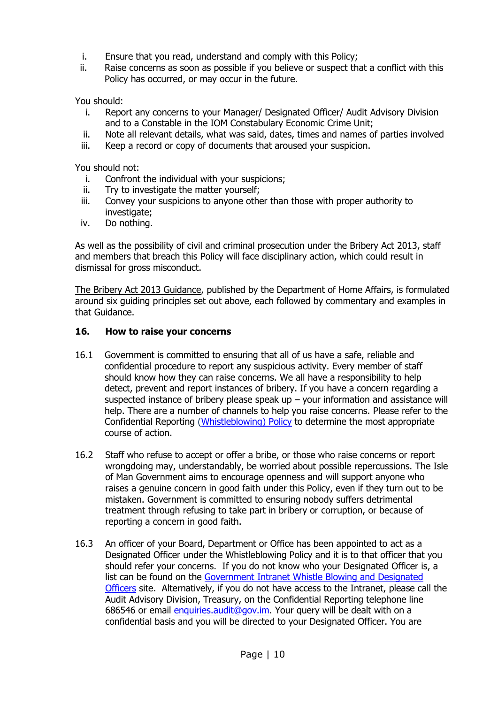- i. Ensure that you read, understand and comply with this Policy;
- ii. Raise concerns as soon as possible if you believe or suspect that a conflict with this Policy has occurred, or may occur in the future.

You should:

- i. Report any concerns to your Manager/ Designated Officer/ Audit Advisory Division and to a Constable in the IOM Constabulary Economic Crime Unit;
- ii. Note all relevant details, what was said, dates, times and names of parties involved
- iii. Keep a record or copy of documents that aroused your suspicion.

You should not:

- i. Confront the individual with your suspicions;
- ii. Try to investigate the matter yourself;
- iii. Convey your suspicions to anyone other than those with proper authority to investigate;
- iv. Do nothing.

As well as the possibility of civil and criminal prosecution under the Bribery Act 2013, staff and members that breach this Policy will face disciplinary action, which could result in dismissal for gross misconduct.

[The Bribery Act 2013 Guidance,](http://www.gov.im/lib/docs/dha/Consultations/bribery.pdf) published by the Department of Home Affairs, is formulated around six guiding principles set out above, each followed by commentary and examples in that Guidance.

#### <span id="page-9-0"></span>**16. How to raise your concerns**

- 16.1 Government is committed to ensuring that all of us have a safe, reliable and confidential procedure to report any suspicious activity. Every member of staff should know how they can raise concerns. We all have a responsibility to help detect, prevent and report instances of bribery. If you have a concern regarding a suspected instance of bribery please speak up  $-$  your information and assistance will help. There are a number of channels to help you raise concerns. Please refer to the Confidential Reporting [\(Whistleblowing\)](https://hr.gov.im/policies-procedures-codes-guidance-and-forms/whistleblowing-policy/) Policy to determine the most appropriate course of action.
- 16.2 Staff who refuse to accept or offer a bribe, or those who raise concerns or report wrongdoing may, understandably, be worried about possible repercussions. The Isle of Man Government aims to encourage openness and will support anyone who raises a genuine concern in good faith under this Policy, even if they turn out to be mistaken. Government is committed to ensuring nobody suffers detrimental treatment through refusing to take part in bribery or corruption, or because of reporting a concern in good faith.
- 16.3 An officer of your Board, Department or Office has been appointed to act as a Designated Officer under the Whistleblowing Policy and it is to that officer that you should refer your concerns. If you do not know who your Designated Officer is, a list can be found on the [Government Intranet Whistle Blowing and Designated](http://rheynnfys/Services/WhistleBlowing/default.aspx)  [Officers](http://rheynnfys/Services/WhistleBlowing/default.aspx) site. Alternatively, if you do not have access to the Intranet, please call the Audit Advisory Division, Treasury, on the Confidential Reporting telephone line 686546 or email [enquiries.audit@gov.im.](mailto:enquiries.audit@gov.im) Your query will be dealt with on a confidential basis and you will be directed to your Designated Officer. You are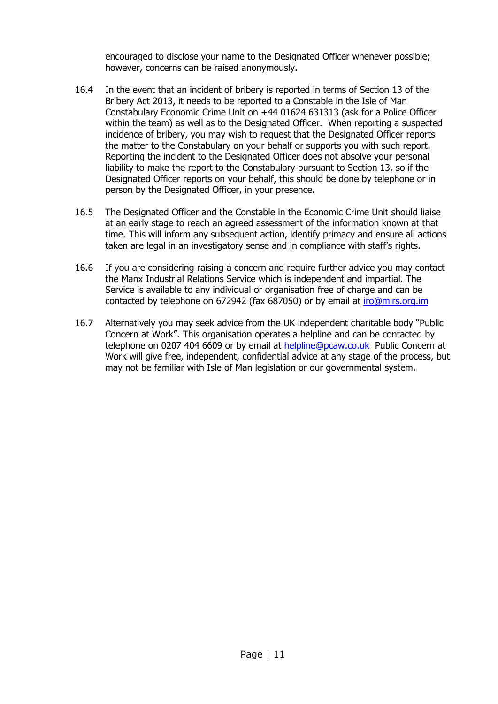encouraged to disclose your name to the Designated Officer whenever possible; however, concerns can be raised anonymously.

- 16.4 In the event that an incident of bribery is reported in terms of Section 13 of the Bribery Act 2013, it needs to be reported to a Constable in the Isle of Man Constabulary Economic Crime Unit on +44 01624 631313 (ask for a Police Officer within the team) as well as to the Designated Officer. When reporting a suspected incidence of bribery, you may wish to request that the Designated Officer reports the matter to the Constabulary on your behalf or supports you with such report. Reporting the incident to the Designated Officer does not absolve your personal liability to make the report to the Constabulary pursuant to Section 13, so if the Designated Officer reports on your behalf, this should be done by telephone or in person by the Designated Officer, in your presence.
- 16.5 The Designated Officer and the Constable in the Economic Crime Unit should liaise at an early stage to reach an agreed assessment of the information known at that time. This will inform any subsequent action, identify primacy and ensure all actions taken are legal in an investigatory sense and in compliance with staff's rights.
- 16.6 If you are considering raising a concern and require further advice you may contact the Manx Industrial Relations Service which is independent and impartial. The Service is available to any individual or organisation free of charge and can be contacted by telephone on 672942 (fax 687050) or by email at [iro@mirs.org.im](mailto:iro@mirs.org.im)
- 16.7 Alternatively you may seek advice from the UK independent charitable body "Public Concern at Work". This organisation operates a helpline and can be contacted by telephone on 0207 404 6609 or by email at [helpline@pcaw.co.uk](mailto:helpline@pcaw.co.uk) Public Concern at Work will give free, independent, confidential advice at any stage of the process, but may not be familiar with Isle of Man legislation or our governmental system.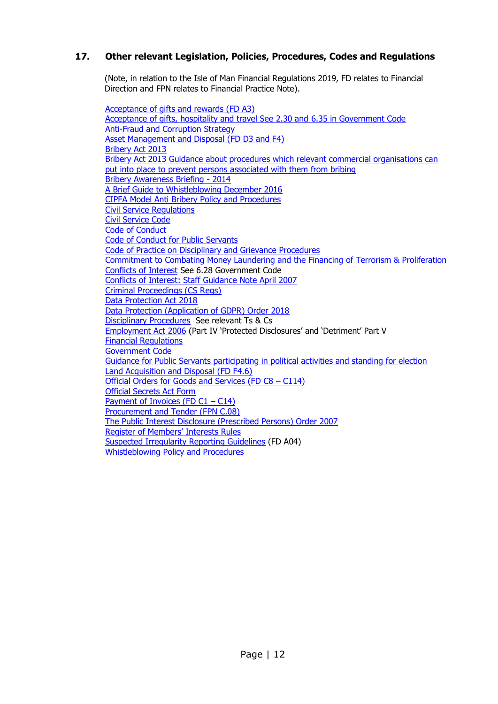#### <span id="page-11-0"></span>**17. Other relevant Legislation, Policies, Procedures, Codes and Regulations**

(Note, in relation to the Isle of Man Financial Regulations 2019, FD relates to Financial Direction and FPN relates to Financial Practice Note).

[Acceptance of gifts](http://rheynnfys/Employee/Allowances/default.aspx) and rewards (FD A3) [Acceptance of gifts, hospitality and travel See 2.30 and 6.35 in Government Code](http://rheynnfys/Employee/Allowances/default.aspx) [Anti-Fraud and Corruption Strategy](http://rheynnfys/Government/AntiFraud/default.aspx) [Asset Management and Disposal \(FD D3 and F4\)](http://rheynnfys/Employee/Allowances/default.aspx) [Bribery Act 2013](http://www.legislation.gov.im/cms/images/LEGISLATION/PRINCIPAL/2013/2013-0007/BriberyAct2013_1.pdf) [Bribery Act 2013 Guidance about procedures which relevant commercial organisations can](http://www.legislation.gov.im/cms/images/LEGISLATION/PRINCIPAL/2013/2013-0007/BriberyAct2013_1.pdf)  [put into place to prevent persons associated with them from bribing](http://www.legislation.gov.im/cms/images/LEGISLATION/PRINCIPAL/2013/2013-0007/BriberyAct2013_1.pdf) [Bribery Awareness Briefing -](http://rheynnfys/Government/AntiFraud/default.aspx) 2014 [A Brief Guide to Whistleblowing December 2016](https://www.gov.im/media/1354615/20161219-whistleblowing-guide-plusjc-2-2.pdf) [CIPFA Model Anti Bribery Policy and Procedures](http://moderngov.barking-dagenham.gov.uk/documents/s35444/Draft%20Bribery%20Policy%20model%20CIPFA%20July%2011.pdf) [Civil Service Regulations](https://hr.gov.im/terms-conditions-for-employees/civil-service/) [Civil Service Code](https://hr.gov.im/media/1463/civilservicecode.pdf) [Code of Conduct](https://hr.gov.im/media/1413/corporate-governance-principles-and-code-of-conduct.pdf) [Code of Conduct for Public Servants](https://hr.gov.im/media/1146/urn8codeofconductforpublics.pdf)  [Code of Practice on Disciplinary and Grievance Procedures](http://www.gov.im/lib/docs/ded/employmentRights/codes/codeofpracticeondisciplinaryand.pdf) Commitment to [Combating Money Laundering and the Financing of Terrorism & Proliferation](https://www.gov.im/news/2012/jul/17/isle-of-mans-commitment-to-combating-money-laundering/)  [Conflicts of Interest](https://hr.gov.im/media/1189/the-government-code-february-2017.pdf) See 6.28 Government Code [Conflicts of Interest: Staff Guidance Note April 2007](http://www.gov.im/lib/docs/cso/corporate/Standards_Conduct/conflictsofinterestguidancenot.pdf) [Criminal Proceedings \(CS Regs\)](https://hr.gov.im/media/1426/criminalproceedingsdisciplinepr.pdf) [Data Protection Act 2018](https://legislation.gov.im/cms/images/LEGISLATION/PRINCIPAL/2018/2018-0010/DataProtectionAct2018_1.pdf) [Data Protection \(Application of GDPR\) Order 2018](https://legislation.gov.im/cms/images/LEGISLATION/SUBORDINATE/2018/2018-0143/DataProtectionApplicationofGDPROrder2018_1.pdf) [Disciplinary Procedures](https://hr.gov.im/terms-conditions-for-employees/) See relevant Ts & Cs [Employment Act 2006](http://www.legislation.gov.im/cms/images/LEGISLATION/PRINCIPAL/2006/2006-0021/EmploymentAct2006_4.pdf) (Part IV 'Protected Disclosures' and 'Detriment' Part V [Financial Regulations](http://rheynnfys/Employee/Allowances/default.aspx) [Government Code](https://hr.gov.im/media/1189/the-government-code-february-2017.pdf) [Guidance for Public Servants participating in political activities and standing for election](https://hr.gov.im/media/1177/guidanceforpublicservantsipar.pdf) [Land Acquisition and Disposal \(FD F4.6\)](http://rheynnfys/Employee/Allowances/default.aspx) [Official Orders for Goods and Services \(FD C8](http://rheynnfys/Employee/Allowances/default.aspx) – C114) [Official Secrets Act Form](https://hr.gov.im/media/1462/officialsecretsact.pdf) [Payment of Invoices \(FD C1](http://rheynnfys/Employee/Allowances/default.aspx) – C14) [Procurement and Tender \(FPN C.08\)](http://rheynnfys/Employee/Allowances/default.aspx) [The Public Interest Disclosure \(Prescribed Persons\) Order 2007](http://www.tynwald.org.im/links/tls/SD/2007/2007-SD-0101.pdf) [Register of Members' Interests Rules](http://www.tynwald.org.im/business/pp/Reports/2011-PP-0127.pdf) [Suspected Irregularity Reporting Guidelines](http://rheynnfys/Employee/Allowances/default.aspx) (FD A04) [Whistleblowing Policy and Procedures](https://hr.gov.im/policies-procedures-codes-guidance-and-forms/whistleblowing-policy/)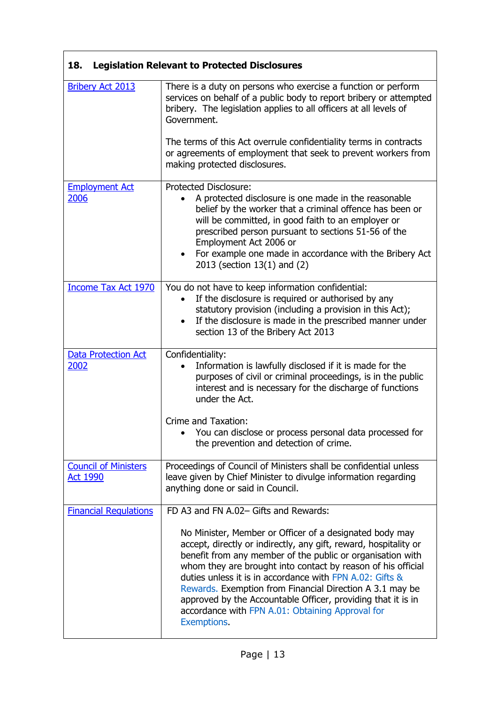<span id="page-12-0"></span>

| <b>Legislation Relevant to Protected Disclosures</b><br>18. |                                                                                                                                                                                                                                                                                                                                                                                                                                                                                                                      |  |
|-------------------------------------------------------------|----------------------------------------------------------------------------------------------------------------------------------------------------------------------------------------------------------------------------------------------------------------------------------------------------------------------------------------------------------------------------------------------------------------------------------------------------------------------------------------------------------------------|--|
| <b>Bribery Act 2013</b>                                     | There is a duty on persons who exercise a function or perform<br>services on behalf of a public body to report bribery or attempted<br>bribery. The legislation applies to all officers at all levels of<br>Government.                                                                                                                                                                                                                                                                                              |  |
|                                                             | The terms of this Act overrule confidentiality terms in contracts<br>or agreements of employment that seek to prevent workers from<br>making protected disclosures.                                                                                                                                                                                                                                                                                                                                                  |  |
| <b>Employment Act</b><br>2006                               | <b>Protected Disclosure:</b><br>A protected disclosure is one made in the reasonable<br>belief by the worker that a criminal offence has been or<br>will be committed, in good faith to an employer or<br>prescribed person pursuant to sections 51-56 of the<br>Employment Act 2006 or<br>• For example one made in accordance with the Bribery Act<br>2013 (section 13(1) and (2)                                                                                                                                  |  |
| <b>Income Tax Act 1970</b>                                  | You do not have to keep information confidential:<br>If the disclosure is required or authorised by any<br>statutory provision (including a provision in this Act);<br>If the disclosure is made in the prescribed manner under<br>$\bullet$<br>section 13 of the Bribery Act 2013                                                                                                                                                                                                                                   |  |
| <b>Data Protection Act</b><br>2002                          | Confidentiality:<br>Information is lawfully disclosed if it is made for the<br>purposes of civil or criminal proceedings, is in the public<br>interest and is necessary for the discharge of functions<br>under the Act.                                                                                                                                                                                                                                                                                             |  |
|                                                             | Crime and Taxation:<br>You can disclose or process personal data processed for<br>the prevention and detection of crime.                                                                                                                                                                                                                                                                                                                                                                                             |  |
| <b>Council of Ministers</b><br><b>Act 1990</b>              | Proceedings of Council of Ministers shall be confidential unless<br>leave given by Chief Minister to divulge information regarding<br>anything done or said in Council.                                                                                                                                                                                                                                                                                                                                              |  |
| <b>Financial Regulations</b>                                | FD A3 and FN A.02- Gifts and Rewards:                                                                                                                                                                                                                                                                                                                                                                                                                                                                                |  |
|                                                             | No Minister, Member or Officer of a designated body may<br>accept, directly or indirectly, any gift, reward, hospitality or<br>benefit from any member of the public or organisation with<br>whom they are brought into contact by reason of his official<br>duties unless it is in accordance with FPN A.02: Gifts &<br>Rewards. Exemption from Financial Direction A 3.1 may be<br>approved by the Accountable Officer, providing that it is in<br>accordance with FPN A.01: Obtaining Approval for<br>Exemptions. |  |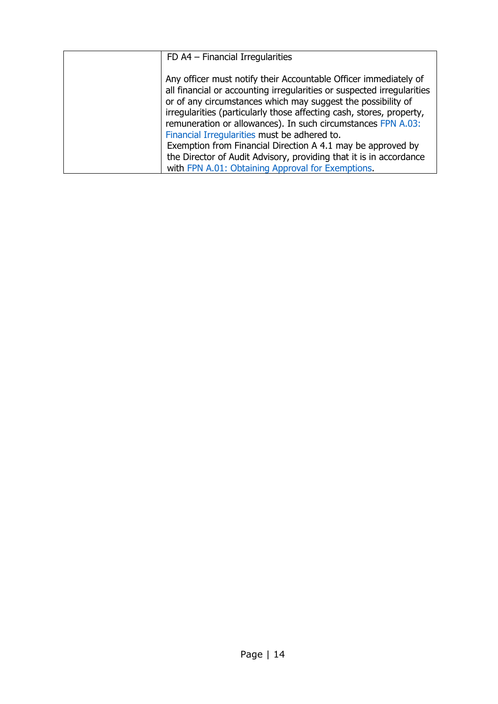<span id="page-13-0"></span>

| FD A4 - Financial Irregularities                                                                                                                                                                                                                                                                                                                                                                   |
|----------------------------------------------------------------------------------------------------------------------------------------------------------------------------------------------------------------------------------------------------------------------------------------------------------------------------------------------------------------------------------------------------|
| Any officer must notify their Accountable Officer immediately of<br>all financial or accounting irregularities or suspected irregularities<br>or of any circumstances which may suggest the possibility of<br>irregularities (particularly those affecting cash, stores, property,<br>remuneration or allowances). In such circumstances FPN A.03:<br>Financial Irregularities must be adhered to. |
| Exemption from Financial Direction A 4.1 may be approved by                                                                                                                                                                                                                                                                                                                                        |
| the Director of Audit Advisory, providing that it is in accordance                                                                                                                                                                                                                                                                                                                                 |
| with FPN A.01: Obtaining Approval for Exemptions.                                                                                                                                                                                                                                                                                                                                                  |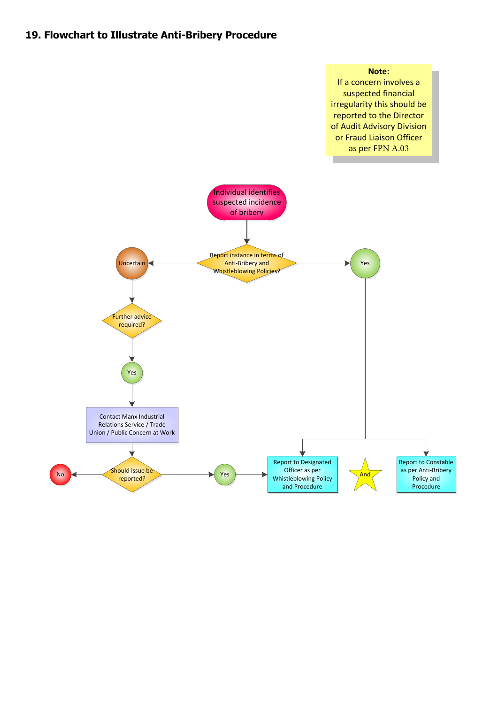# **19. Flowchart to Illustrate Anti-Bribery Procedure**